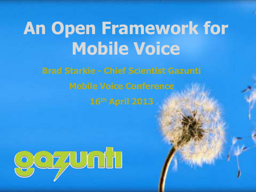# **An Open Framework for Mobile Voice**

**Brad Starkie - Chief Scientist Gazunti Mobile Voice Conference 16th April 2013**

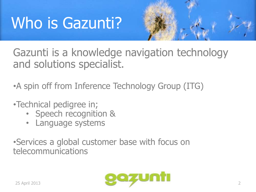# Who is Gazunti?



Gazunti is a knowledge navigation technology and solutions specialist.

•A spin off from Inference Technology Group (ITG)

- •Technical pedigree in;
	- Speech recognition &
	- Language systems

•Services a global customer base with focus on telecommunications

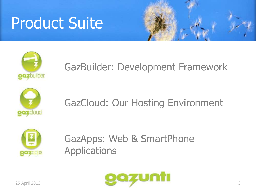# Product Suite





#### GazBuilder: Development Framework



#### GazCloud: Our Hosting Environment



GazApps: Web & SmartPhone Applications

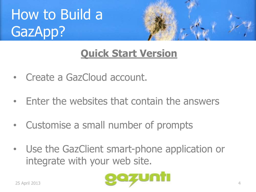



#### **Quick Start Version**

- Create a GazCloud account.
- Enter the websites that contain the answers
- Customise a small number of prompts
- Use the GazClient smart-phone application or integrate with your web site.

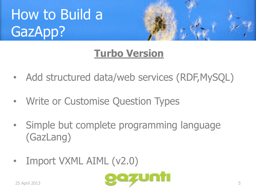



#### **Turbo Version**

- Add structured data/web services (RDF,MySQL)
- Write or Customise Question Types
- Simple but complete programming language (GazLang)
- Import VXML AIML (v2.0)

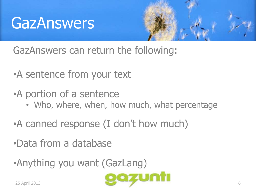### **GazAnswers**



GazAnswers can return the following:

- •A sentence from your text
- •A portion of a sentence
	- Who, where, when, how much, what percentage
- •A canned response (I don't how much)
- •Data from a database
- •Anything you want (GazLang)

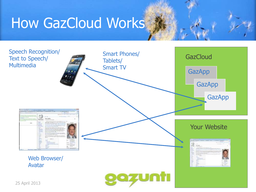### How GazCloud Works

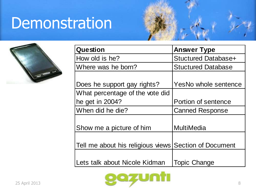### Demonstration



| Question                                              | <b>Answer Type</b>         |
|-------------------------------------------------------|----------------------------|
| How old is he?                                        | <b>Stuctured Database+</b> |
| Where was he born?                                    | <b>Stuctured Database</b>  |
|                                                       |                            |
| Does he support gay rights?                           | YesNo whole sentence       |
| What percentage of the vote did                       |                            |
| he get in 2004?                                       | Portion of sentence        |
| When did he die?                                      | <b>Canned Response</b>     |
|                                                       |                            |
| Show me a picture of him                              | MultiMedia                 |
|                                                       |                            |
| Tell me about his religious views Section of Document |                            |
|                                                       |                            |
| Lets talk about Nicole Kidman                         | <b>Topic Change</b>        |

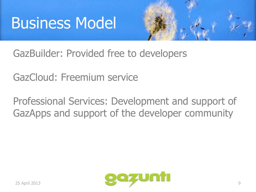## Business Model



GazBuilder: Provided free to developers

GazCloud: Freemium service

Professional Services: Development and support of GazApps and support of the developer community